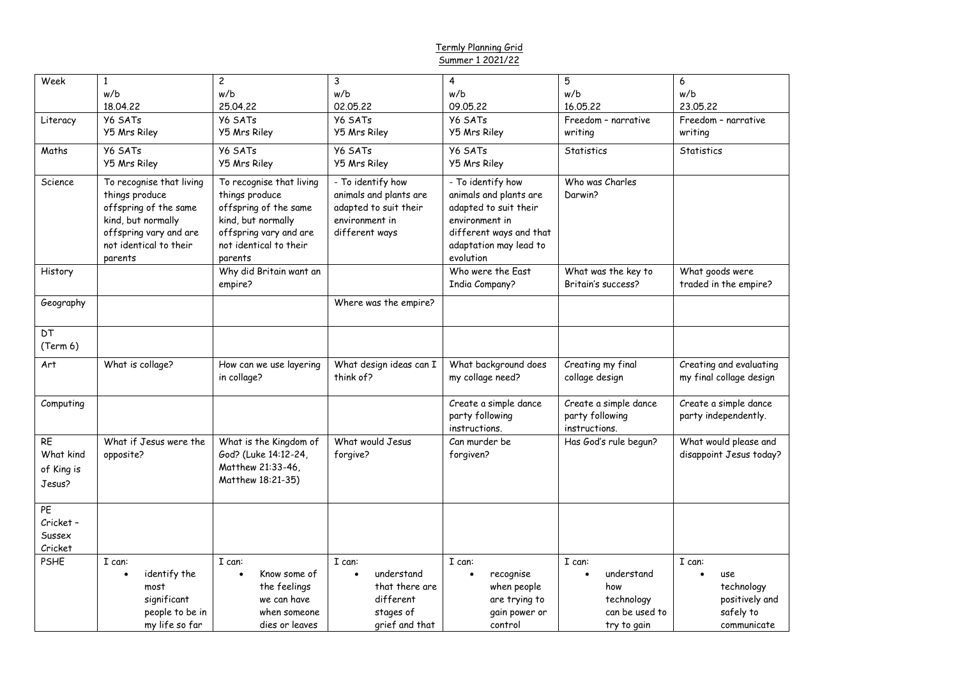## Termly Planning Grid Summer 1 2021/22

| Week           | $\mathbf{1}$                      | $\overline{c}$                    | 3                       | $\overline{4}$                      | 5                     | 6                       |
|----------------|-----------------------------------|-----------------------------------|-------------------------|-------------------------------------|-----------------------|-------------------------|
|                | w/b                               | w/b                               | w/b                     | w/b                                 | w/b                   | w/b                     |
|                | 18.04.22                          | 25.04.22                          | 02.05.22                | 09.05.22                            | 16.05.22              | 23.05.22                |
| Literacy       | Y6 SATs                           | Y6 SATs                           | Y6 SATs                 | Y6 SATs                             | Freedom - narrative   | Freedom - narrative     |
|                | Y5 Mrs Riley                      | <b>Y5 Mrs Riley</b>               | Y5 Mrs Riley            | <b>Y5 Mrs Riley</b>                 | writing               | writing                 |
| Maths          | Y6 SATs                           | <b>Y6 SATs</b>                    | Y6 SATs                 | <b>Y6 SATs</b>                      | Statistics            | Statistics              |
|                | <b>Y5 Mrs Riley</b>               | <b>Y5 Mrs Riley</b>               | <b>Y5 Mrs Riley</b>     | <b>Y5 Mrs Riley</b>                 |                       |                         |
| <b>Science</b> | To recognise that living          | To recognise that living          | - To identify how       | - To identify how                   | Who was Charles       |                         |
|                | things produce                    | things produce                    | animals and plants are  | animals and plants are              | Darwin?               |                         |
|                | offspring of the same             | offspring of the same             | adapted to suit their   | adapted to suit their               |                       |                         |
|                | kind, but normally                | kind, but normally                | environment in          | environment in                      |                       |                         |
|                | offspring vary and are            | offspring vary and are            | different ways          | different ways and that             |                       |                         |
|                | not identical to their<br>parents | not identical to their<br>parents |                         | adaptation may lead to<br>evolution |                       |                         |
| History        |                                   | Why did Britain want an           |                         | Who were the East                   | What was the key to   | What goods were         |
|                |                                   | empire?                           |                         | <b>India Company?</b>               | Britain's success?    | traded in the empire?   |
| Geography      |                                   |                                   | Where was the empire?   |                                     |                       |                         |
|                |                                   |                                   |                         |                                     |                       |                         |
| DT             |                                   |                                   |                         |                                     |                       |                         |
| (Term 6)       |                                   |                                   |                         |                                     |                       |                         |
| Art            | What is collage?                  | How can we use layering           | What design ideas can I | What background does                | Creating my final     | Creating and evaluating |
|                |                                   | in collage?                       | think of?               | my collage need?                    | collage design        | my final collage design |
| Computing      |                                   |                                   |                         | Create a simple dance               | Create a simple dance | Create a simple dance   |
|                |                                   |                                   |                         | party following                     | party following       | party independently.    |
|                |                                   |                                   |                         | instructions.                       | instructions.         |                         |
| RE             | What if Jesus were the            | What is the Kingdom of            | What would Jesus        | Can murder be                       | Has God's rule begun? | What would please and   |
| What kind      | opposite?                         | God? (Luke 14:12-24,              | forgive?                | forgiven?                           |                       | disappoint Jesus today? |
| of King is     |                                   | Matthew 21:33-46,                 |                         |                                     |                       |                         |
| Jesus?         |                                   | Matthew 18:21-35)                 |                         |                                     |                       |                         |
| PE             |                                   |                                   |                         |                                     |                       |                         |
| Cricket -      |                                   |                                   |                         |                                     |                       |                         |
| Sussex         |                                   |                                   |                         |                                     |                       |                         |
| Cricket        |                                   |                                   |                         |                                     |                       |                         |
| <b>PSHE</b>    | I can:                            | I can:                            | I can:                  | I can:                              | I can:                | I can:                  |
|                | identify the                      | Know some of<br>$\bullet$         | understand              | recognise<br>$\bullet$              | understand            | use                     |
|                | most                              | the feelings                      | that there are          | when people                         | how                   | technology              |
|                | significant                       | we can have                       | different               | are trying to                       | technology            | positively and          |
|                | people to be in                   | when someone                      | stages of               | gain power or                       | can be used to        | safely to               |
|                | my life so far                    | dies or leaves                    | grief and that          | control                             | try to gain           | communicate             |